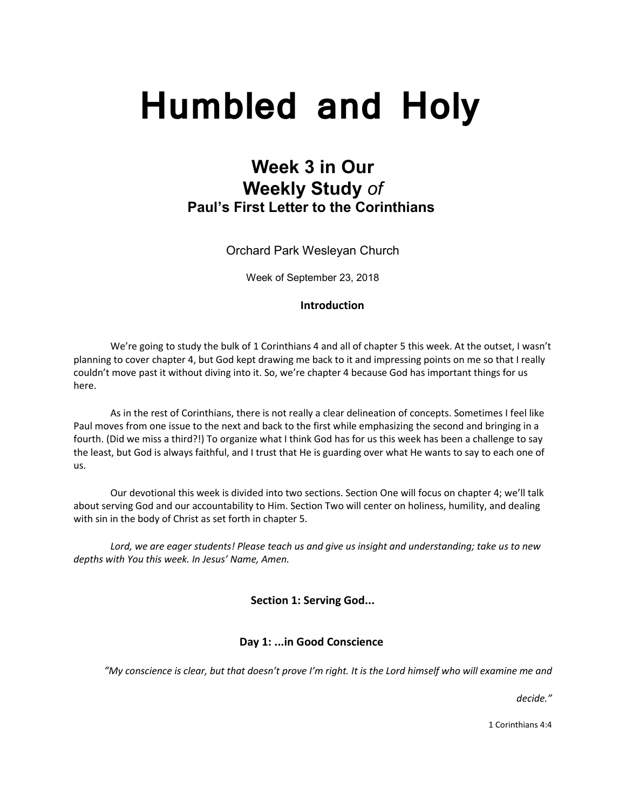# **Humbled and Holy**

# **Week 3 in Our Weekly Study** *of* **Paul's First Letter to the Corinthians**

Orchard Park Wesleyan Church

Week of September 23, 2018

# **Introduction**

We're going to study the bulk of 1 Corinthians 4 and all of chapter 5 this week. At the outset, I wasn't planning to cover chapter 4, but God kept drawing me back to it and impressing points on me so that I really couldn't move past it without diving into it. So, we're chapter 4 because God has important things for us here.

As in the rest of Corinthians, there is not really a clear delineation of concepts. Sometimes I feel like Paul moves from one issue to the next and back to the first while emphasizing the second and bringing in a fourth. (Did we miss a third?!) To organize what I think God has for us this week has been a challenge to say the least, but God is always faithful, and I trust that He is guarding over what He wants to say to each one of us.

Our devotional this week is divided into two sections. Section One will focus on chapter 4; we'll talk about serving God and our accountability to Him. Section Two will center on holiness, humility, and dealing with sin in the body of Christ as set forth in chapter 5.

*Lord, we are eager students! Please teach us and give us insight and understanding; take us to new depths with You this week. In Jesus' Name, Amen.*

**Section 1: Serving God...**

# **Day 1: ...in Good Conscience**

*"My conscience is clear, but that doesn't prove I'm right. It is the Lord himself who will examine me and*

*decide."*

1 Corinthians 4:4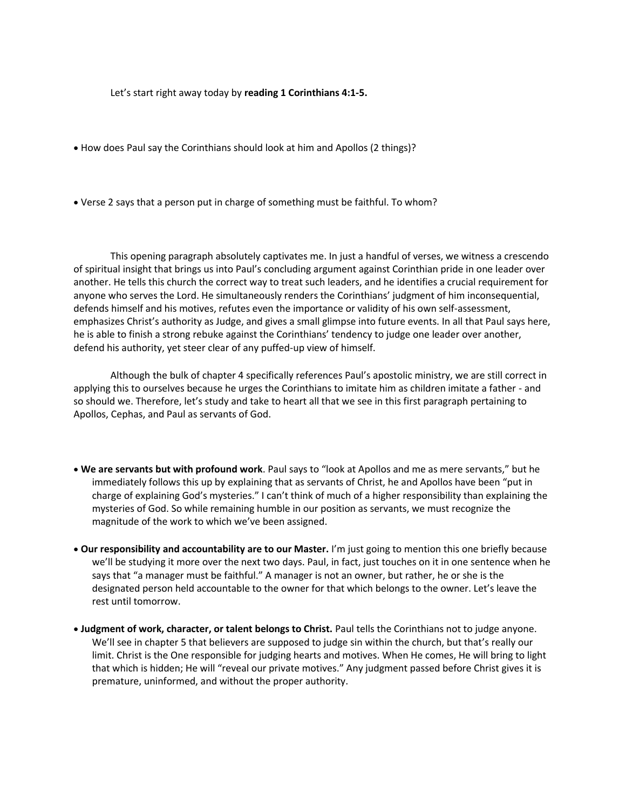Let's start right away today by **reading 1 Corinthians 4:1-5.**

- How does Paul say the Corinthians should look at him and Apollos (2 things)?
- Verse 2 says that a person put in charge of something must be faithful. To whom?

This opening paragraph absolutely captivates me. In just a handful of verses, we witness a crescendo of spiritual insight that brings us into Paul's concluding argument against Corinthian pride in one leader over another. He tells this church the correct way to treat such leaders, and he identifies a crucial requirement for anyone who serves the Lord. He simultaneously renders the Corinthians' judgment of him inconsequential, defends himself and his motives, refutes even the importance or validity of his own self-assessment, emphasizes Christ's authority as Judge, and gives a small glimpse into future events. In all that Paul says here, he is able to finish a strong rebuke against the Corinthians' tendency to judge one leader over another, defend his authority, yet steer clear of any puffed-up view of himself.

Although the bulk of chapter 4 specifically references Paul's apostolic ministry, we are still correct in applying this to ourselves because he urges the Corinthians to imitate him as children imitate a father - and so should we. Therefore, let's study and take to heart all that we see in this first paragraph pertaining to Apollos, Cephas, and Paul as servants of God.

- **We are servants but with profound work**. Paul says to "look at Apollos and me as mere servants," but he immediately follows this up by explaining that as servants of Christ, he and Apollos have been "put in charge of explaining God's mysteries." I can't think of much of a higher responsibility than explaining the mysteries of God. So while remaining humble in our position as servants, we must recognize the magnitude of the work to which we've been assigned.
- **Our responsibility and accountability are to our Master.** I'm just going to mention this one briefly because we'll be studying it more over the next two days. Paul, in fact, just touches on it in one sentence when he says that "a manager must be faithful." A manager is not an owner, but rather, he or she is the designated person held accountable to the owner for that which belongs to the owner. Let's leave the rest until tomorrow.
- **Judgment of work, character, or talent belongs to Christ.** Paul tells the Corinthians not to judge anyone. We'll see in chapter 5 that believers are supposed to judge sin within the church, but that's really our limit. Christ is the One responsible for judging hearts and motives. When He comes, He will bring to light that which is hidden; He will "reveal our private motives." Any judgment passed before Christ gives it is premature, uninformed, and without the proper authority.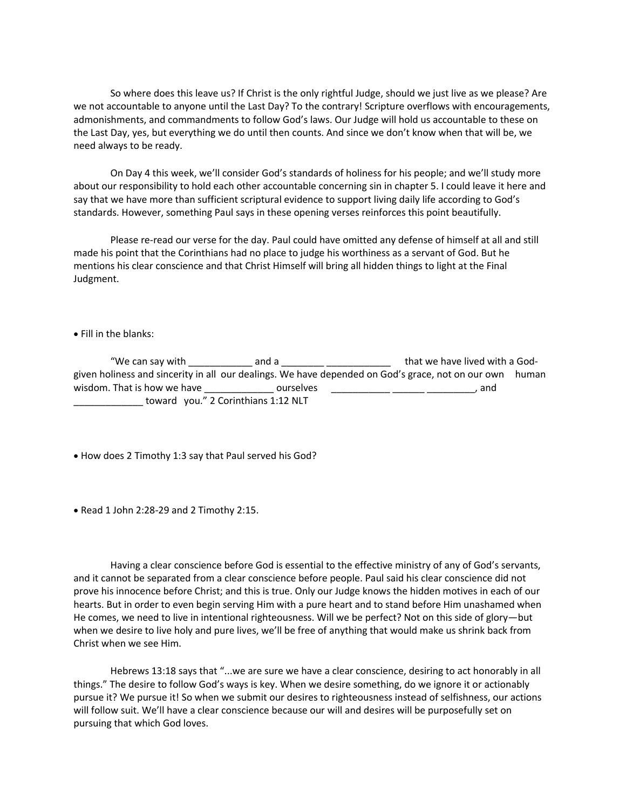So where does this leave us? If Christ is the only rightful Judge, should we just live as we please? Are we not accountable to anyone until the Last Day? To the contrary! Scripture overflows with encouragements, admonishments, and commandments to follow God's laws. Our Judge will hold us accountable to these on the Last Day, yes, but everything we do until then counts. And since we don't know when that will be, we need always to be ready.

On Day 4 this week, we'll consider God's standards of holiness for his people; and we'll study more about our responsibility to hold each other accountable concerning sin in chapter 5. I could leave it here and say that we have more than sufficient scriptural evidence to support living daily life according to God's standards. However, something Paul says in these opening verses reinforces this point beautifully.

 Please re-read our verse for the day. Paul could have omitted any defense of himself at all and still made his point that the Corinthians had no place to judge his worthiness as a servant of God. But he mentions his clear conscience and that Christ Himself will bring all hidden things to light at the Final Judgment.

• Fill in the blanks:

"We can say with  $\frac{1}{\sqrt{2}}$  and a  $\frac{1}{\sqrt{2}}$   $\frac{1}{\sqrt{2}}$  that we have lived with a Godgiven holiness and sincerity in all our dealings. We have depended on God's grace, not on our own human wisdom. That is how we have \_\_\_\_\_\_\_\_\_\_\_\_\_\_\_\_\_ ourselves \_\_\_\_\_\_\_\_\_\_\_\_\_\_\_\_\_\_\_\_\_\_\_\_\_\_\_\_\_\_\_\_\_\_, and toward you." 2 Corinthians 1:12 NLT

• How does 2 Timothy 1:3 say that Paul served his God?

• Read 1 John 2:28-29 and 2 Timothy 2:15.

Having a clear conscience before God is essential to the effective ministry of any of God's servants, and it cannot be separated from a clear conscience before people. Paul said his clear conscience did not prove his innocence before Christ; and this is true. Only our Judge knows the hidden motives in each of our hearts. But in order to even begin serving Him with a pure heart and to stand before Him unashamed when He comes, we need to live in intentional righteousness. Will we be perfect? Not on this side of glory—but when we desire to live holy and pure lives, we'll be free of anything that would make us shrink back from Christ when we see Him.

Hebrews 13:18 says that "...we are sure we have a clear conscience, desiring to act honorably in all things." The desire to follow God's ways is key. When we desire something, do we ignore it or actionably pursue it? We pursue it! So when we submit our desires to righteousness instead of selfishness, our actions will follow suit. We'll have a clear conscience because our will and desires will be purposefully set on pursuing that which God loves.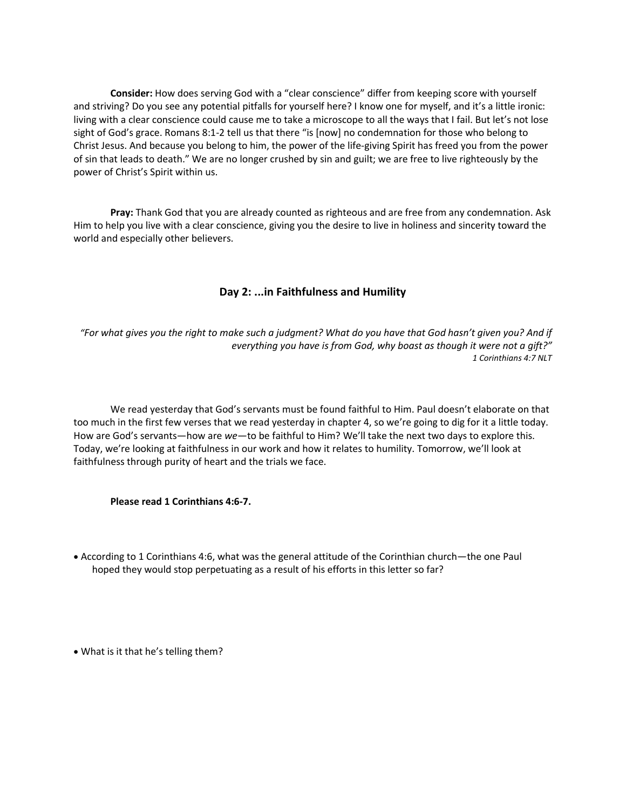**Consider:** How does serving God with a "clear conscience" differ from keeping score with yourself and striving? Do you see any potential pitfalls for yourself here? I know one for myself, and it's a little ironic: living with a clear conscience could cause me to take a microscope to all the ways that I fail. But let's not lose sight of God's grace. Romans 8:1-2 tell us that there "is [now] no condemnation for those who belong to Christ Jesus. And because you belong to him, the power of the life-giving Spirit has freed you from the power of sin that leads to death." We are no longer crushed by sin and guilt; we are free to live righteously by the power of Christ's Spirit within us.

**Pray:** Thank God that you are already counted as righteous and are free from any condemnation. Ask Him to help you live with a clear conscience, giving you the desire to live in holiness and sincerity toward the world and especially other believers.

# **Day 2: ...in Faithfulness and Humility**

*"For what gives you the right to make such a judgment? What do you have that God hasn't given you? And if everything you have is from God, why boast as though it were not a gift?" 1 Corinthians 4:7 NLT*

We read yesterday that God's servants must be found faithful to Him. Paul doesn't elaborate on that too much in the first few verses that we read yesterday in chapter 4, so we're going to dig for it a little today. How are God's servants—how are *we—*to be faithful to Him? We'll take the next two days to explore this. Today, we're looking at faithfulness in our work and how it relates to humility. Tomorrow, we'll look at faithfulness through purity of heart and the trials we face.

**Please read 1 Corinthians 4:6-7.**

• According to 1 Corinthians 4:6, what was the general attitude of the Corinthian church—the one Paul hoped they would stop perpetuating as a result of his efforts in this letter so far?

• What is it that he's telling them?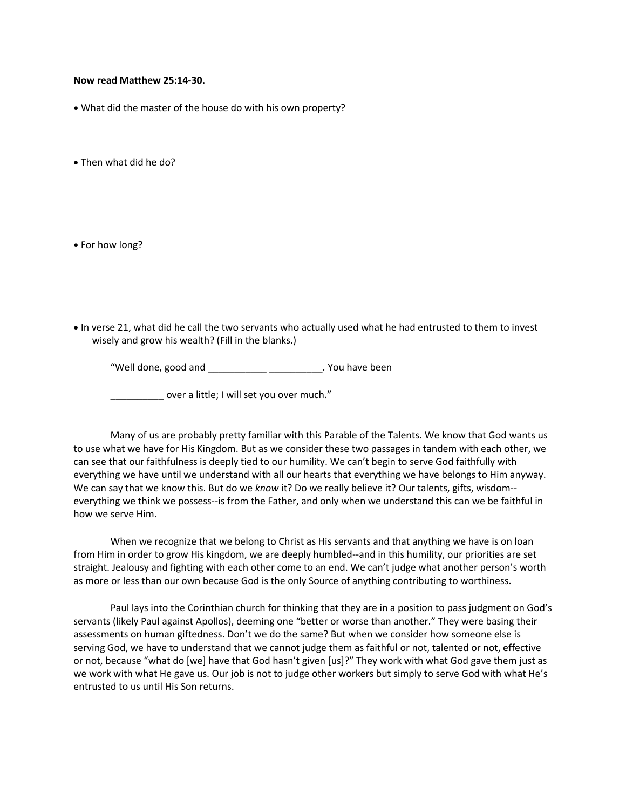#### **Now read Matthew 25:14-30.**

• What did the master of the house do with his own property?

• Then what did he do?

• For how long?

• In verse 21, what did he call the two servants who actually used what he had entrusted to them to invest wisely and grow his wealth? (Fill in the blanks.)

"Well done, good and \_\_\_\_\_\_\_\_\_\_\_ \_\_\_\_\_\_\_\_\_\_. You have been

\_\_\_\_\_\_\_\_\_\_ over a little; I will set you over much."

 Many of us are probably pretty familiar with this Parable of the Talents. We know that God wants us to use what we have for His Kingdom. But as we consider these two passages in tandem with each other, we can see that our faithfulness is deeply tied to our humility. We can't begin to serve God faithfully with everything we have until we understand with all our hearts that everything we have belongs to Him anyway. We can say that we know this. But do we *know* it? Do we really believe it? Our talents, gifts, wisdom- everything we think we possess--is from the Father, and only when we understand this can we be faithful in how we serve Him.

When we recognize that we belong to Christ as His servants and that anything we have is on loan from Him in order to grow His kingdom, we are deeply humbled--and in this humility, our priorities are set straight. Jealousy and fighting with each other come to an end. We can't judge what another person's worth as more or less than our own because God is the only Source of anything contributing to worthiness.

Paul lays into the Corinthian church for thinking that they are in a position to pass judgment on God's servants (likely Paul against Apollos), deeming one "better or worse than another." They were basing their assessments on human giftedness. Don't we do the same? But when we consider how someone else is serving God, we have to understand that we cannot judge them as faithful or not, talented or not, effective or not, because "what do [we] have that God hasn't given [us]?" They work with what God gave them just as we work with what He gave us. Our job is not to judge other workers but simply to serve God with what He's entrusted to us until His Son returns.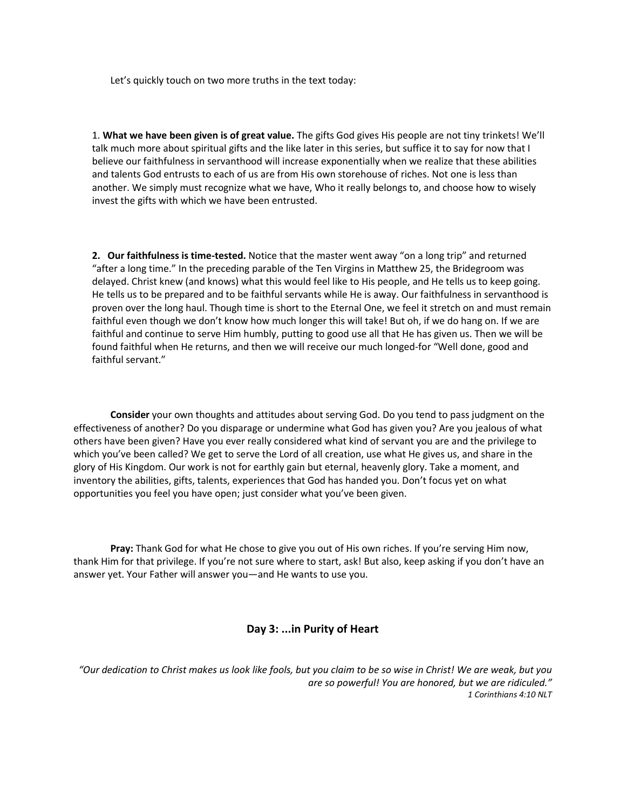Let's quickly touch on two more truths in the text today:

1. **What we have been given is of great value.** The gifts God gives His people are not tiny trinkets! We'll talk much more about spiritual gifts and the like later in this series, but suffice it to say for now that I believe our faithfulness in servanthood will increase exponentially when we realize that these abilities and talents God entrusts to each of us are from His own storehouse of riches. Not one is less than another. We simply must recognize what we have, Who it really belongs to, and choose how to wisely invest the gifts with which we have been entrusted.

**2. Our faithfulness is time-tested.** Notice that the master went away "on a long trip" and returned "after a long time." In the preceding parable of the Ten Virgins in Matthew 25, the Bridegroom was delayed. Christ knew (and knows) what this would feel like to His people, and He tells us to keep going. He tells us to be prepared and to be faithful servants while He is away. Our faithfulness in servanthood is proven over the long haul. Though time is short to the Eternal One, we feel it stretch on and must remain faithful even though we don't know how much longer this will take! But oh, if we do hang on. If we are faithful and continue to serve Him humbly, putting to good use all that He has given us. Then we will be found faithful when He returns, and then we will receive our much longed-for "Well done, good and faithful servant."

**Consider** your own thoughts and attitudes about serving God. Do you tend to pass judgment on the effectiveness of another? Do you disparage or undermine what God has given you? Are you jealous of what others have been given? Have you ever really considered what kind of servant you are and the privilege to which you've been called? We get to serve the Lord of all creation, use what He gives us, and share in the glory of His Kingdom. Our work is not for earthly gain but eternal, heavenly glory. Take a moment, and inventory the abilities, gifts, talents, experiences that God has handed you. Don't focus yet on what opportunities you feel you have open; just consider what you've been given.

**Pray:** Thank God for what He chose to give you out of His own riches. If you're serving Him now, thank Him for that privilege. If you're not sure where to start, ask! But also, keep asking if you don't have an answer yet. Your Father will answer you—and He wants to use you.

# **Day 3: ...in Purity of Heart**

*"Our dedication to Christ makes us look like fools, but you claim to be so wise in Christ! We are weak, but you are so powerful! You are honored, but we are ridiculed." 1 Corinthians 4:10 NLT*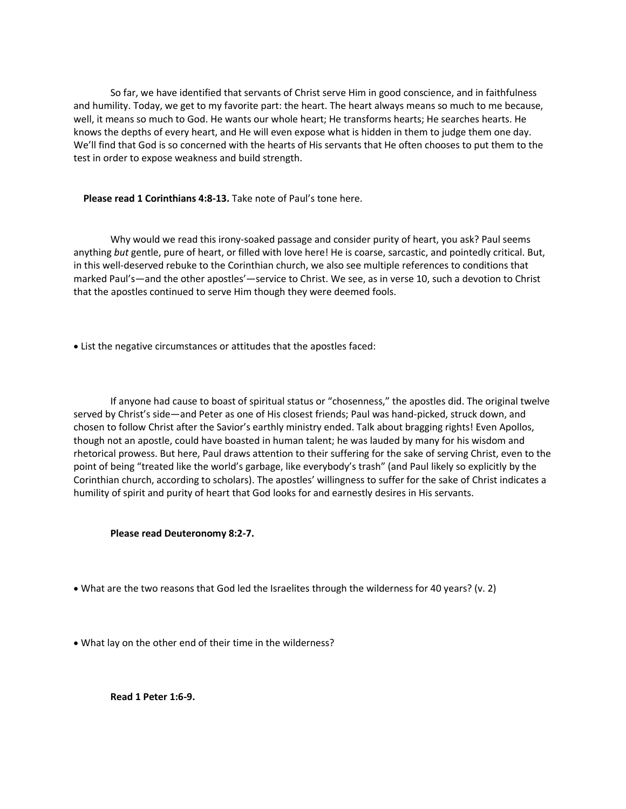So far, we have identified that servants of Christ serve Him in good conscience, and in faithfulness and humility. Today, we get to my favorite part: the heart. The heart always means so much to me because, well, it means so much to God. He wants our whole heart; He transforms hearts; He searches hearts. He knows the depths of every heart, and He will even expose what is hidden in them to judge them one day. We'll find that God is so concerned with the hearts of His servants that He often chooses to put them to the test in order to expose weakness and build strength.

#### **Please read 1 Corinthians 4:8-13.** Take note of Paul's tone here.

 Why would we read this irony-soaked passage and consider purity of heart, you ask? Paul seems anything *but* gentle, pure of heart, or filled with love here! He is coarse, sarcastic, and pointedly critical. But, in this well-deserved rebuke to the Corinthian church, we also see multiple references to conditions that marked Paul's—and the other apostles'—service to Christ. We see, as in verse 10, such a devotion to Christ that the apostles continued to serve Him though they were deemed fools.

• List the negative circumstances or attitudes that the apostles faced:

If anyone had cause to boast of spiritual status or "chosenness," the apostles did. The original twelve served by Christ's side—and Peter as one of His closest friends; Paul was hand-picked, struck down, and chosen to follow Christ after the Savior's earthly ministry ended. Talk about bragging rights! Even Apollos, though not an apostle, could have boasted in human talent; he was lauded by many for his wisdom and rhetorical prowess. But here, Paul draws attention to their suffering for the sake of serving Christ, even to the point of being "treated like the world's garbage, like everybody's trash" (and Paul likely so explicitly by the Corinthian church, according to scholars). The apostles' willingness to suffer for the sake of Christ indicates a humility of spirit and purity of heart that God looks for and earnestly desires in His servants.

#### **Please read Deuteronomy 8:2-7.**

- What are the two reasons that God led the Israelites through the wilderness for 40 years? (v. 2)
- What lay on the other end of their time in the wilderness?

**Read 1 Peter 1:6-9.**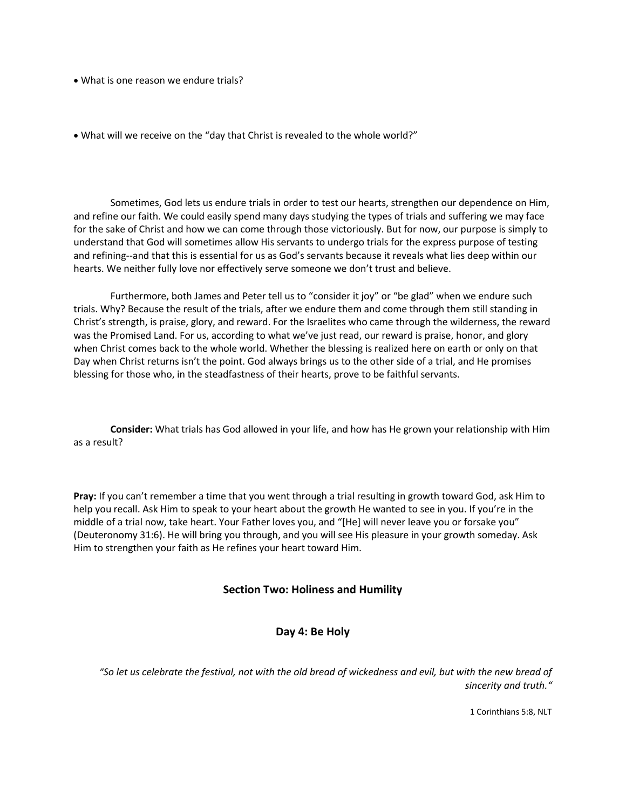- What is one reason we endure trials?
- What will we receive on the "day that Christ is revealed to the whole world?"

 Sometimes, God lets us endure trials in order to test our hearts, strengthen our dependence on Him, and refine our faith. We could easily spend many days studying the types of trials and suffering we may face for the sake of Christ and how we can come through those victoriously. But for now, our purpose is simply to understand that God will sometimes allow His servants to undergo trials for the express purpose of testing and refining--and that this is essential for us as God's servants because it reveals what lies deep within our hearts. We neither fully love nor effectively serve someone we don't trust and believe.

Furthermore, both James and Peter tell us to "consider it joy" or "be glad" when we endure such trials. Why? Because the result of the trials, after we endure them and come through them still standing in Christ's strength, is praise, glory, and reward. For the Israelites who came through the wilderness, the reward was the Promised Land. For us, according to what we've just read, our reward is praise, honor, and glory when Christ comes back to the whole world. Whether the blessing is realized here on earth or only on that Day when Christ returns isn't the point. God always brings us to the other side of a trial, and He promises blessing for those who, in the steadfastness of their hearts, prove to be faithful servants.

**Consider:** What trials has God allowed in your life, and how has He grown your relationship with Him as a result?

**Pray:** If you can't remember a time that you went through a trial resulting in growth toward God, ask Him to help you recall. Ask Him to speak to your heart about the growth He wanted to see in you. If you're in the middle of a trial now, take heart. Your Father loves you, and "[He] will never leave you or forsake you" (Deuteronomy 31:6). He will bring you through, and you will see His pleasure in your growth someday. Ask Him to strengthen your faith as He refines your heart toward Him.

# **Section Two: Holiness and Humility**

#### **Day 4: Be Holy**

*"So let us celebrate the festival, not with the old bread of wickedness and evil, but with the new bread of sincerity and truth."*

1 Corinthians 5:8, NLT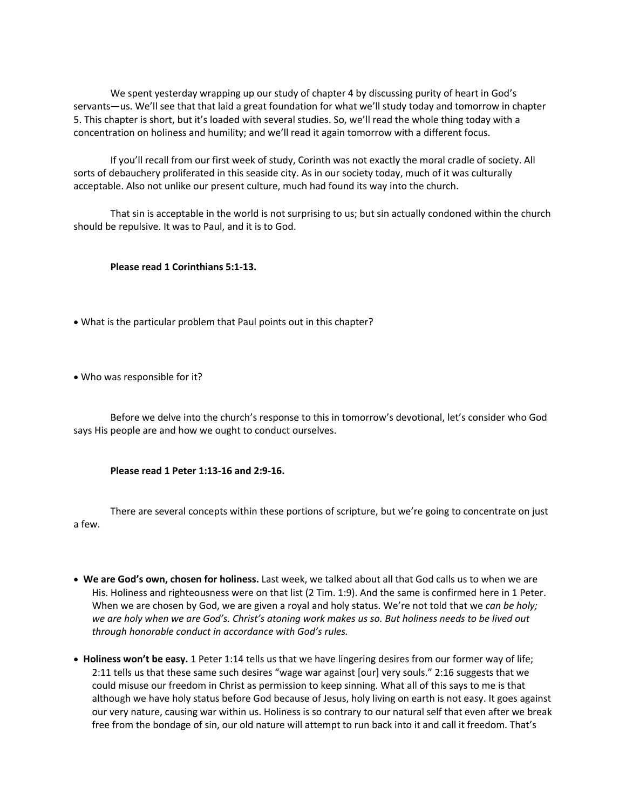We spent yesterday wrapping up our study of chapter 4 by discussing purity of heart in God's servants—us. We'll see that that laid a great foundation for what we'll study today and tomorrow in chapter 5. This chapter is short, but it's loaded with several studies. So, we'll read the whole thing today with a concentration on holiness and humility; and we'll read it again tomorrow with a different focus.

If you'll recall from our first week of study, Corinth was not exactly the moral cradle of society. All sorts of debauchery proliferated in this seaside city. As in our society today, much of it was culturally acceptable. Also not unlike our present culture, much had found its way into the church.

That sin is acceptable in the world is not surprising to us; but sin actually condoned within the church should be repulsive. It was to Paul, and it is to God.

# **Please read 1 Corinthians 5:1-13.**

- What is the particular problem that Paul points out in this chapter?
- Who was responsible for it?

 Before we delve into the church's response to this in tomorrow's devotional, let's consider who God says His people are and how we ought to conduct ourselves.

# **Please read 1 Peter 1:13-16 and 2:9-16.**

 There are several concepts within these portions of scripture, but we're going to concentrate on just a few.

- **We are God's own, chosen for holiness.** Last week, we talked about all that God calls us to when we are His. Holiness and righteousness were on that list (2 Tim. 1:9). And the same is confirmed here in 1 Peter. When we are chosen by God, we are given a royal and holy status. We're not told that we *can be holy; we are holy when we are God's. Christ's atoning work makes us so. But holiness needs to be lived out through honorable conduct in accordance with God's rules.*
- **Holiness won't be easy.** 1 Peter 1:14 tells us that we have lingering desires from our former way of life; 2:11 tells us that these same such desires "wage war against [our] very souls." 2:16 suggests that we could misuse our freedom in Christ as permission to keep sinning. What all of this says to me is that although we have holy status before God because of Jesus, holy living on earth is not easy. It goes against our very nature, causing war within us. Holiness is so contrary to our natural self that even after we break free from the bondage of sin, our old nature will attempt to run back into it and call it freedom. That's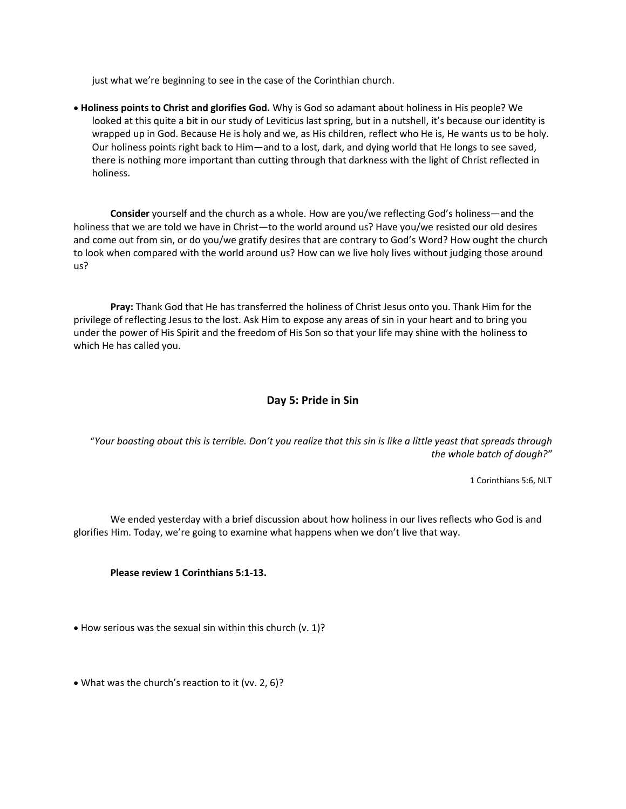just what we're beginning to see in the case of the Corinthian church.

• **Holiness points to Christ and glorifies God.** Why is God so adamant about holiness in His people? We looked at this quite a bit in our study of Leviticus last spring, but in a nutshell, it's because our identity is wrapped up in God. Because He is holy and we, as His children, reflect who He is, He wants us to be holy. Our holiness points right back to Him—and to a lost, dark, and dying world that He longs to see saved, there is nothing more important than cutting through that darkness with the light of Christ reflected in holiness.

**Consider** yourself and the church as a whole. How are you/we reflecting God's holiness—and the holiness that we are told we have in Christ—to the world around us? Have you/we resisted our old desires and come out from sin, or do you/we gratify desires that are contrary to God's Word? How ought the church to look when compared with the world around us? How can we live holy lives without judging those around us?

 **Pray:** Thank God that He has transferred the holiness of Christ Jesus onto you. Thank Him for the privilege of reflecting Jesus to the lost. Ask Him to expose any areas of sin in your heart and to bring you under the power of His Spirit and the freedom of His Son so that your life may shine with the holiness to which He has called you.

# **Day 5: Pride in Sin**

"*Your boasting about this is terrible. Don't you realize that this sin is like a little yeast that spreads through the whole batch of dough?"*

1 Corinthians 5:6, NLT

We ended yesterday with a brief discussion about how holiness in our lives reflects who God is and glorifies Him. Today, we're going to examine what happens when we don't live that way.

# **Please review 1 Corinthians 5:1-13.**

• How serious was the sexual sin within this church (v. 1)?

• What was the church's reaction to it (vv. 2, 6)?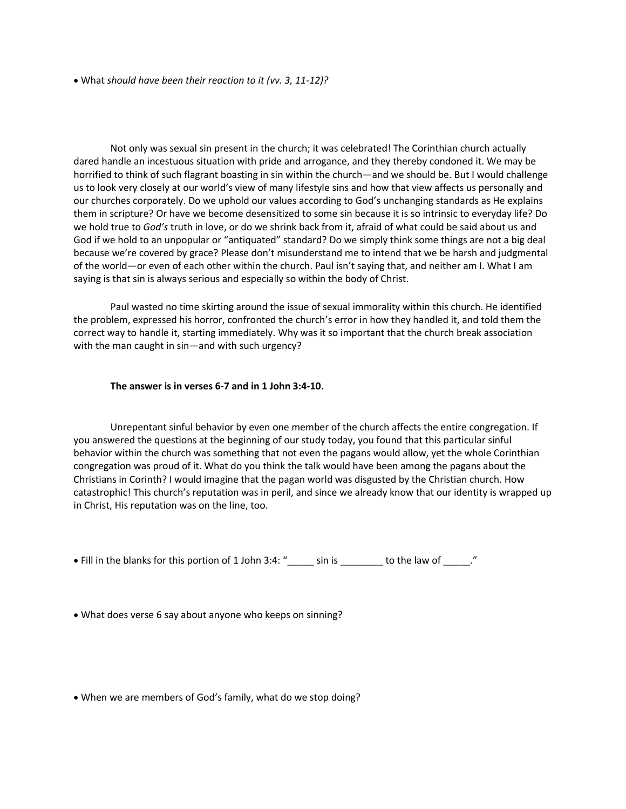• What *should have been their reaction to it (vv. 3, 11-12)?*

Not only was sexual sin present in the church; it was celebrated! The Corinthian church actually dared handle an incestuous situation with pride and arrogance, and they thereby condoned it. We may be horrified to think of such flagrant boasting in sin within the church—and we should be. But I would challenge us to look very closely at our world's view of many lifestyle sins and how that view affects us personally and our churches corporately. Do we uphold our values according to God's unchanging standards as He explains them in scripture? Or have we become desensitized to some sin because it is so intrinsic to everyday life? Do we hold true to *God's* truth in love, or do we shrink back from it, afraid of what could be said about us and God if we hold to an unpopular or "antiquated" standard? Do we simply think some things are not a big deal because we're covered by grace? Please don't misunderstand me to intend that we be harsh and judgmental of the world—or even of each other within the church. Paul isn't saying that, and neither am I. What I am saying is that sin is always serious and especially so within the body of Christ.

Paul wasted no time skirting around the issue of sexual immorality within this church. He identified the problem, expressed his horror, confronted the church's error in how they handled it, and told them the correct way to handle it, starting immediately. Why was it so important that the church break association with the man caught in sin—and with such urgency?

#### **The answer is in verses 6-7 and in 1 John 3:4-10.**

Unrepentant sinful behavior by even one member of the church affects the entire congregation. If you answered the questions at the beginning of our study today, you found that this particular sinful behavior within the church was something that not even the pagans would allow, yet the whole Corinthian congregation was proud of it. What do you think the talk would have been among the pagans about the Christians in Corinth? I would imagine that the pagan world was disgusted by the Christian church. How catastrophic! This church's reputation was in peril, and since we already know that our identity is wrapped up in Christ, His reputation was on the line, too.

• Fill in the blanks for this portion of 1 John 3:4: "\_\_\_\_\_ sin is \_\_\_\_\_\_\_\_ to the law of \_\_\_\_\_."

• What does verse 6 say about anyone who keeps on sinning?

• When we are members of God's family, what do we stop doing?